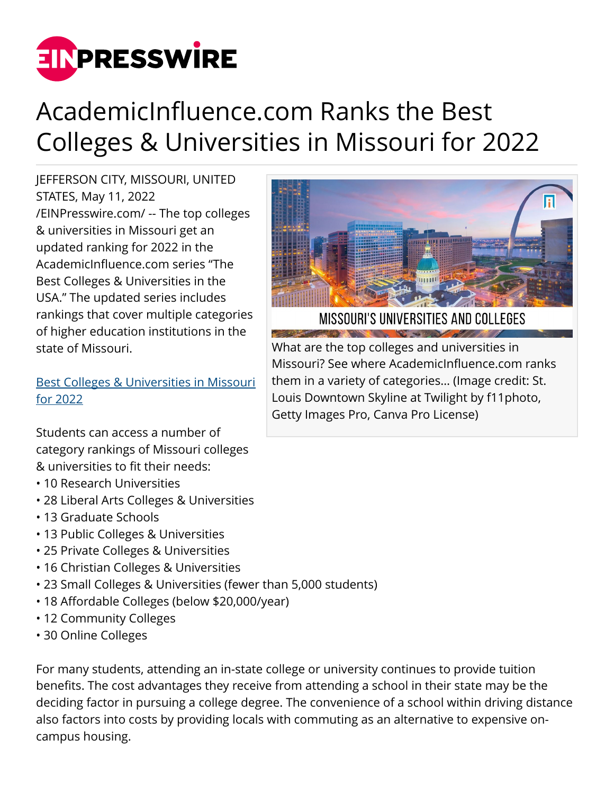

## AcademicInfluence.com Ranks the Best Colleges & Universities in Missouri for 2022

JEFFERSON CITY, MISSOURI, UNITED STATES, May 11, 2022 [/EINPresswire.com/](http://www.einpresswire.com) -- The top colleges & universities in Missouri get an updated ranking for 2022 in the AcademicInfluence.com series "The Best Colleges & Universities in the USA." The updated series includes rankings that cover multiple categories of higher education institutions in the state of Missouri.

[Best Colleges & Universities in Missouri](https://academicinfluence.com/go/statehub/mo) [for 2022](https://academicinfluence.com/go/statehub/mo)

Students can access a number of category rankings of Missouri colleges & universities to fit their needs:

- 10 Research Universities
- 28 Liberal Arts Colleges & Universities
- 13 Graduate Schools
- 13 Public Colleges & Universities
- 25 Private Colleges & Universities
- 16 Christian Colleges & Universities
- 23 Small Colleges & Universities (fewer than 5,000 students)
- 18 Affordable Colleges (below \$20,000/year)
- 12 Community Colleges
- 30 Online Colleges

For many students, attending an in-state college or university continues to provide tuition benefits. The cost advantages they receive from attending a school in their state may be the deciding factor in pursuing a college degree. The convenience of a school within driving distance also factors into costs by providing locals with commuting as an alternative to expensive oncampus housing.



IVERSITIES AND COLLEGES

What are the top colleges and universities in Missouri? See where AcademicInfluence.com ranks them in a variety of categories… (Image credit: St. Louis Downtown Skyline at Twilight by f11photo, Getty Images Pro, Canva Pro License)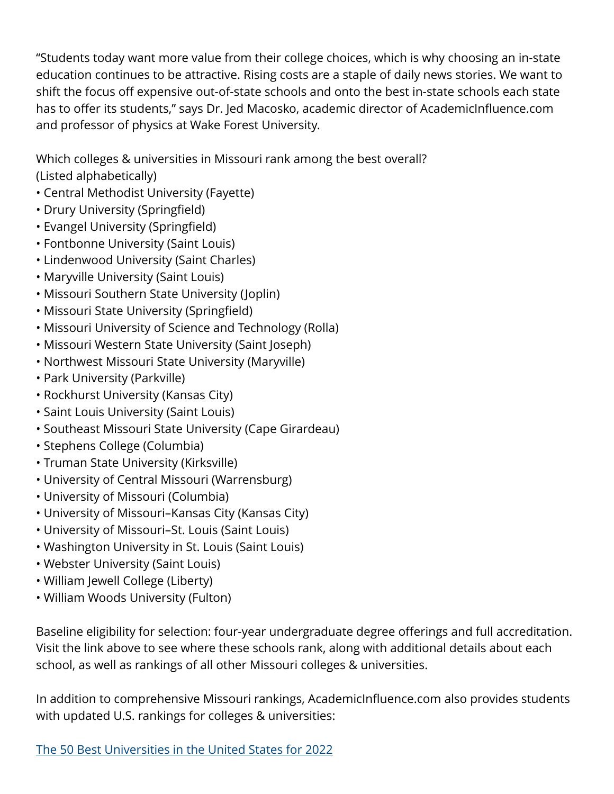"Students today want more value from their college choices, which is why choosing an in-state education continues to be attractive. Rising costs are a staple of daily news stories. We want to shift the focus off expensive out-of-state schools and onto the best in-state schools each state has to offer its students," says Dr. Jed Macosko, academic director of AcademicInfluence.com and professor of physics at Wake Forest University.

Which colleges & universities in Missouri rank among the best overall? (Listed alphabetically)

- Central Methodist University (Fayette)
- Drury University (Springfield)
- Evangel University (Springfield)
- Fontbonne University (Saint Louis)
- Lindenwood University (Saint Charles)
- Maryville University (Saint Louis)
- Missouri Southern State University (Joplin)
- Missouri State University (Springfield)
- Missouri University of Science and Technology (Rolla)
- Missouri Western State University (Saint Joseph)
- Northwest Missouri State University (Maryville)
- Park University (Parkville)
- Rockhurst University (Kansas City)
- Saint Louis University (Saint Louis)
- Southeast Missouri State University (Cape Girardeau)
- Stephens College (Columbia)
- Truman State University (Kirksville)
- University of Central Missouri (Warrensburg)
- University of Missouri (Columbia)
- University of Missouri–Kansas City (Kansas City)
- University of Missouri–St. Louis (Saint Louis)
- Washington University in St. Louis (Saint Louis)
- Webster University (Saint Louis)
- William Jewell College (Liberty)
- William Woods University (Fulton)

Baseline eligibility for selection: four-year undergraduate degree offerings and full accreditation. Visit the link above to see where these schools rank, along with additional details about each school, as well as rankings of all other Missouri colleges & universities.

In addition to comprehensive Missouri rankings, AcademicInfluence.com also provides students with updated U.S. rankings for colleges & universities: